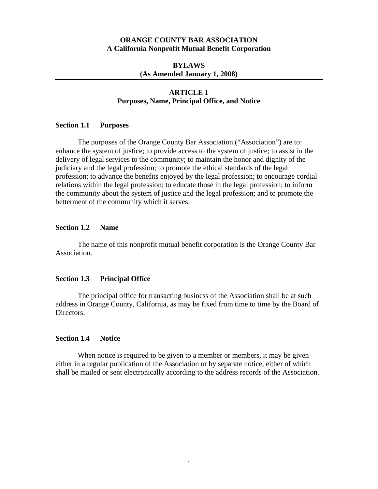### **ORANGE COUNTY BAR ASSOCIATION A California Nonprofit Mutual Benefit Corporation**

## **BYLAWS (As Amended January 1, 2008)**

## **ARTICLE 1 Purposes, Name, Principal Office, and Notice**

### **Section 1.1 Purposes**

 The purposes of the Orange County Bar Association ("Association") are to: enhance the system of justice; to provide access to the system of justice; to assist in the delivery of legal services to the community; to maintain the honor and dignity of the judiciary and the legal profession; to promote the ethical standards of the legal profession; to advance the benefits enjoyed by the legal profession; to encourage cordial relations within the legal profession; to educate those in the legal profession; to inform the community about the system of justice and the legal profession; and to promote the betterment of the community which it serves.

## **Section 1.2 Name**

 The name of this nonprofit mutual benefit corporation is the Orange County Bar Association.

### **Section 1.3 Principal Office**

 The principal office for transacting business of the Association shall be at such address in Orange County, California, as may be fixed from time to time by the Board of Directors.

#### **Section 1.4 Notice**

 When notice is required to be given to a member or members, it may be given either in a regular publication of the Association or by separate notice, either of which shall be mailed or sent electronically according to the address records of the Association.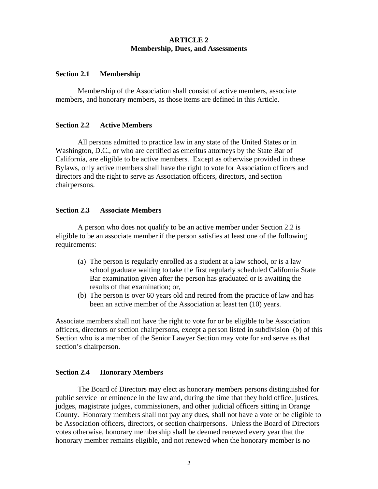## **ARTICLE 2 Membership, Dues, and Assessments**

### **Section 2.1 Membership**

Membership of the Association shall consist of active members, associate members, and honorary members, as those items are defined in this Article.

## **Section 2.2 Active Members**

All persons admitted to practice law in any state of the United States or in Washington, D.C., or who are certified as emeritus attorneys by the State Bar of California, are eligible to be active members. Except as otherwise provided in these Bylaws, only active members shall have the right to vote for Association officers and directors and the right to serve as Association officers, directors, and section chairpersons.

### **Section 2.3 Associate Members**

A person who does not qualify to be an active member under Section 2.2 is eligible to be an associate member if the person satisfies at least one of the following requirements:

- (a) The person is regularly enrolled as a student at a law school, or is a law school graduate waiting to take the first regularly scheduled California State Bar examination given after the person has graduated or is awaiting the results of that examination; or,
- (b) The person is over 60 years old and retired from the practice of law and has been an active member of the Association at least ten (10) years.

Associate members shall not have the right to vote for or be eligible to be Association officers, directors or section chairpersons, except a person listed in subdivision (b) of this Section who is a member of the Senior Lawyer Section may vote for and serve as that section's chairperson.

### **Section 2.4 Honorary Members**

The Board of Directors may elect as honorary members persons distinguished for public service or eminence in the law and, during the time that they hold office, justices, judges, magistrate judges, commissioners, and other judicial officers sitting in Orange County. Honorary members shall not pay any dues, shall not have a vote or be eligible to be Association officers, directors, or section chairpersons. Unless the Board of Directors votes otherwise, honorary membership shall be deemed renewed every year that the honorary member remains eligible, and not renewed when the honorary member is no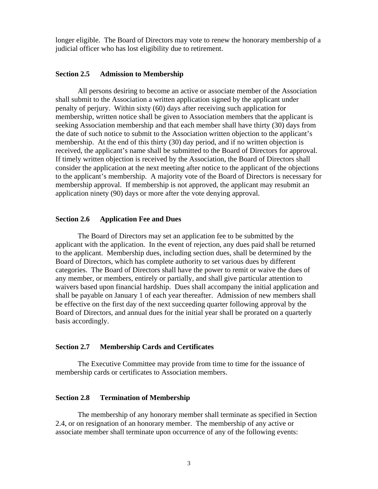longer eligible. The Board of Directors may vote to renew the honorary membership of a judicial officer who has lost eligibility due to retirement.

#### **Section 2.5 Admission to Membership**

All persons desiring to become an active or associate member of the Association shall submit to the Association a written application signed by the applicant under penalty of perjury. Within sixty (60) days after receiving such application for membership, written notice shall be given to Association members that the applicant is seeking Association membership and that each member shall have thirty (30) days from the date of such notice to submit to the Association written objection to the applicant's membership. At the end of this thirty (30) day period, and if no written objection is received, the applicant's name shall be submitted to the Board of Directors for approval. If timely written objection is received by the Association, the Board of Directors shall consider the application at the next meeting after notice to the applicant of the objections to the applicant's membership. A majority vote of the Board of Directors is necessary for membership approval. If membership is not approved, the applicant may resubmit an application ninety (90) days or more after the vote denying approval.

### **Section 2.6 Application Fee and Dues**

The Board of Directors may set an application fee to be submitted by the applicant with the application. In the event of rejection, any dues paid shall be returned to the applicant. Membership dues, including section dues, shall be determined by the Board of Directors, which has complete authority to set various dues by different categories. The Board of Directors shall have the power to remit or waive the dues of any member, or members, entirely or partially, and shall give particular attention to waivers based upon financial hardship. Dues shall accompany the initial application and shall be payable on January 1 of each year thereafter. Admission of new members shall be effective on the first day of the next succeeding quarter following approval by the Board of Directors, and annual dues for the initial year shall be prorated on a quarterly basis accordingly.

#### **Section 2.7 Membership Cards and Certificates**

 The Executive Committee may provide from time to time for the issuance of membership cards or certificates to Association members.

#### **Section 2.8 Termination of Membership**

 The membership of any honorary member shall terminate as specified in Section 2.4, or on resignation of an honorary member. The membership of any active or associate member shall terminate upon occurrence of any of the following events: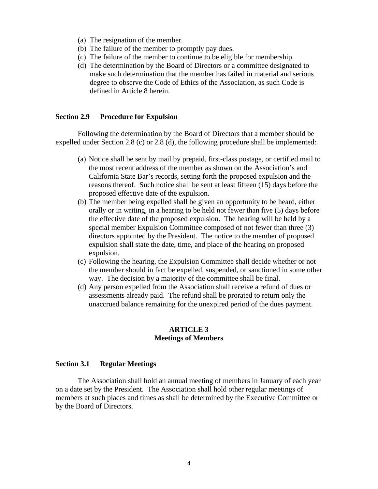- (a) The resignation of the member.
- (b) The failure of the member to promptly pay dues.
- (c) The failure of the member to continue to be eligible for membership.
- (d) The determination by the Board of Directors or a committee designated to make such determination that the member has failed in material and serious degree to observe the Code of Ethics of the Association, as such Code is defined in Article 8 herein.

# **Section 2.9 Procedure for Expulsion**

 Following the determination by the Board of Directors that a member should be expelled under Section 2.8 (c) or 2.8 (d), the following procedure shall be implemented:

- (a) Notice shall be sent by mail by prepaid, first-class postage, or certified mail to the most recent address of the member as shown on the Association's and California State Bar's records, setting forth the proposed expulsion and the reasons thereof. Such notice shall be sent at least fifteen (15) days before the proposed effective date of the expulsion.
- (b) The member being expelled shall be given an opportunity to be heard, either orally or in writing, in a hearing to be held not fewer than five (5) days before the effective date of the proposed expulsion. The hearing will be held by a special member Expulsion Committee composed of not fewer than three (3) directors appointed by the President. The notice to the member of proposed expulsion shall state the date, time, and place of the hearing on proposed expulsion.
- (c) Following the hearing, the Expulsion Committee shall decide whether or not the member should in fact be expelled, suspended, or sanctioned in some other way. The decision by a majority of the committee shall be final.
- (d) Any person expelled from the Association shall receive a refund of dues or assessments already paid. The refund shall be prorated to return only the unaccrued balance remaining for the unexpired period of the dues payment.

# **ARTICLE 3 Meetings of Members**

### **Section 3.1 Regular Meetings**

The Association shall hold an annual meeting of members in January of each year on a date set by the President. The Association shall hold other regular meetings of members at such places and times as shall be determined by the Executive Committee or by the Board of Directors.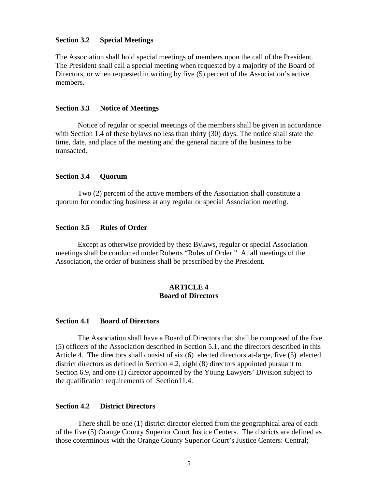### **Section 3.2 Special Meetings**

The Association shall hold special meetings of members upon the call of the President. The President shall call a special meeting when requested by a majority of the Board of Directors, or when requested in writing by five (5) percent of the Association's active members.

#### **Section 3.3 Notice of Meetings**

 Notice of regular or special meetings of the members shall be given in accordance with Section 1.4 of these bylaws no less than thirty (30) days. The notice shall state the time, date, and place of the meeting and the general nature of the business to be transacted.

#### **Section 3.4 Quorum**

Two (2) percent of the active members of the Association shall constitute a quorum for conducting business at any regular or special Association meeting.

#### **Section 3.5 Rules of Order**

Except as otherwise provided by these Bylaws, regular or special Association meetings shall be conducted under Roberts "Rules of Order." At all meetings of the Association, the order of business shall be prescribed by the President.

## **ARTICLE 4 Board of Directors**

#### **Section 4.1 Board of Directors**

The Association shall have a Board of Directors that shall be composed of the five (5) officers of the Association described in Section 5.1, and the directors described in this Article 4. The directors shall consist of six (6) elected directors at-large, five (5) elected district directors as defined in Section 4.2, eight (8) directors appointed pursuant to Section 6.9, and one (1) director appointed by the Young Lawyers' Division subject to the qualification requirements of Section11.4.

#### **Section 4.2 District Directors**

 There shall be one (1) district director elected from the geographical area of each of the five (5) Orange County Superior Court Justice Centers. The districts are defined as those coterminous with the Orange County Superior Court's Justice Centers: Central;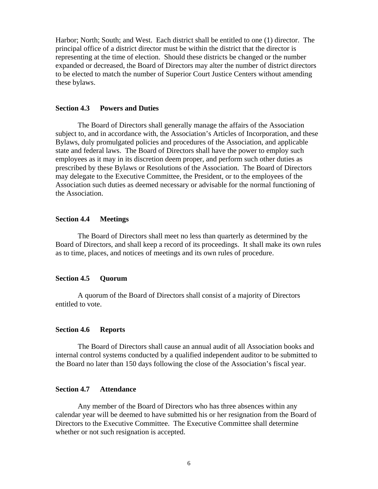Harbor; North; South; and West. Each district shall be entitled to one (1) director. The principal office of a district director must be within the district that the director is representing at the time of election. Should these districts be changed or the number expanded or decreased, the Board of Directors may alter the number of district directors to be elected to match the number of Superior Court Justice Centers without amending these bylaws.

#### **Section 4.3 Powers and Duties**

 The Board of Directors shall generally manage the affairs of the Association subject to, and in accordance with, the Association's Articles of Incorporation, and these Bylaws, duly promulgated policies and procedures of the Association, and applicable state and federal laws. The Board of Directors shall have the power to employ such employees as it may in its discretion deem proper, and perform such other duties as prescribed by these Bylaws or Resolutions of the Association. The Board of Directors may delegate to the Executive Committee, the President, or to the employees of the Association such duties as deemed necessary or advisable for the normal functioning of the Association.

### **Section 4.4 Meetings**

The Board of Directors shall meet no less than quarterly as determined by the Board of Directors, and shall keep a record of its proceedings. It shall make its own rules as to time, places, and notices of meetings and its own rules of procedure.

### **Section 4.5 Quorum**

 A quorum of the Board of Directors shall consist of a majority of Directors entitled to vote.

### **Section 4.6 Reports**

 The Board of Directors shall cause an annual audit of all Association books and internal control systems conducted by a qualified independent auditor to be submitted to the Board no later than 150 days following the close of the Association's fiscal year.

### **Section 4.7 Attendance**

 Any member of the Board of Directors who has three absences within any calendar year will be deemed to have submitted his or her resignation from the Board of Directors to the Executive Committee. The Executive Committee shall determine whether or not such resignation is accepted.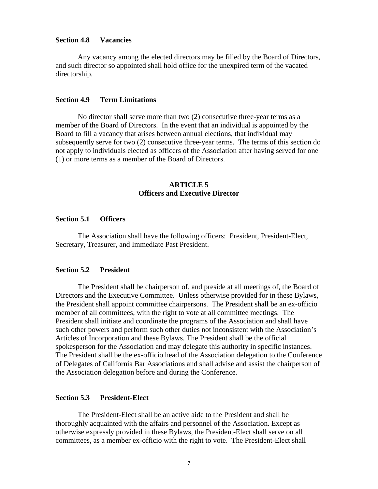#### **Section 4.8 Vacancies**

 Any vacancy among the elected directors may be filled by the Board of Directors, and such director so appointed shall hold office for the unexpired term of the vacated directorship.

### **Section 4.9 Term Limitations**

 No director shall serve more than two (2) consecutive three-year terms as a member of the Board of Directors. In the event that an individual is appointed by the Board to fill a vacancy that arises between annual elections, that individual may subsequently serve for two (2) consecutive three-year terms. The terms of this section do not apply to individuals elected as officers of the Association after having served for one (1) or more terms as a member of the Board of Directors.

## **ARTICLE 5 Officers and Executive Director**

## **Section 5.1 Officers**

The Association shall have the following officers: President, President-Elect, Secretary, Treasurer, and Immediate Past President.

### **Section 5.2 President**

The President shall be chairperson of, and preside at all meetings of, the Board of Directors and the Executive Committee. Unless otherwise provided for in these Bylaws, the President shall appoint committee chairpersons. The President shall be an ex-officio member of all committees, with the right to vote at all committee meetings. The President shall initiate and coordinate the programs of the Association and shall have such other powers and perform such other duties not inconsistent with the Association's Articles of Incorporation and these Bylaws. The President shall be the official spokesperson for the Association and may delegate this authority in specific instances. The President shall be the ex-officio head of the Association delegation to the Conference of Delegates of California Bar Associations and shall advise and assist the chairperson of the Association delegation before and during the Conference.

### **Section 5.3 President-Elect**

The President-Elect shall be an active aide to the President and shall be thoroughly acquainted with the affairs and personnel of the Association. Except as otherwise expressly provided in these Bylaws, the President-Elect shall serve on all committees, as a member ex-officio with the right to vote. The President-Elect shall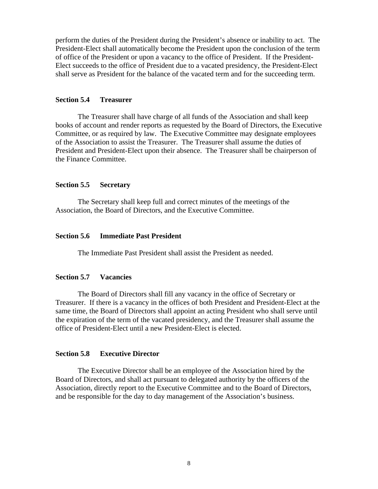perform the duties of the President during the President's absence or inability to act. The President-Elect shall automatically become the President upon the conclusion of the term of office of the President or upon a vacancy to the office of President. If the President-Elect succeeds to the office of President due to a vacated presidency, the President-Elect shall serve as President for the balance of the vacated term and for the succeeding term.

## **Section 5.4 Treasurer**

The Treasurer shall have charge of all funds of the Association and shall keep books of account and render reports as requested by the Board of Directors, the Executive Committee, or as required by law. The Executive Committee may designate employees of the Association to assist the Treasurer. The Treasurer shall assume the duties of President and President-Elect upon their absence. The Treasurer shall be chairperson of the Finance Committee.

### **Section 5.5 Secretary**

The Secretary shall keep full and correct minutes of the meetings of the Association, the Board of Directors, and the Executive Committee.

## **Section 5.6 Immediate Past President**

The Immediate Past President shall assist the President as needed.

#### **Section 5.7 Vacancies**

The Board of Directors shall fill any vacancy in the office of Secretary or Treasurer. If there is a vacancy in the offices of both President and President-Elect at the same time, the Board of Directors shall appoint an acting President who shall serve until the expiration of the term of the vacated presidency, and the Treasurer shall assume the office of President-Elect until a new President-Elect is elected.

### **Section 5.8 Executive Director**

The Executive Director shall be an employee of the Association hired by the Board of Directors, and shall act pursuant to delegated authority by the officers of the Association, directly report to the Executive Committee and to the Board of Directors, and be responsible for the day to day management of the Association's business.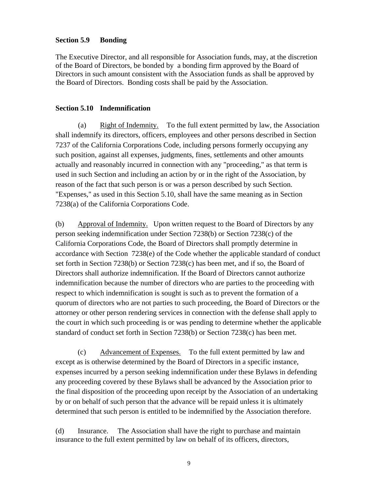## **Section 5.9 Bonding**

The Executive Director, and all responsible for Association funds, may, at the discretion of the Board of Directors, be bonded by a bonding firm approved by the Board of Directors in such amount consistent with the Association funds as shall be approved by the Board of Directors. Bonding costs shall be paid by the Association.

## **Section 5.10 Indemnification**

(a) Right of Indemnity. To the full extent permitted by law, the Association shall indemnify its directors, officers, employees and other persons described in Section 7237 of the California Corporations Code, including persons formerly occupying any such position, against all expenses, judgments, fines, settlements and other amounts actually and reasonably incurred in connection with any "proceeding," as that term is used in such Section and including an action by or in the right of the Association, by reason of the fact that such person is or was a person described by such Section. "Expenses," as used in this Section 5.10, shall have the same meaning as in Section 7238(a) of the California Corporations Code.

(b) Approval of Indemnity. Upon written request to the Board of Directors by any person seeking indemnification under Section 7238(b) or Section 7238(c) of the California Corporations Code, the Board of Directors shall promptly determine in accordance with Section 7238(e) of the Code whether the applicable standard of conduct set forth in Section 7238(b) or Section 7238(c) has been met, and if so, the Board of Directors shall authorize indemnification. If the Board of Directors cannot authorize indemnification because the number of directors who are parties to the proceeding with respect to which indemnification is sought is such as to prevent the formation of a quorum of directors who are not parties to such proceeding, the Board of Directors or the attorney or other person rendering services in connection with the defense shall apply to the court in which such proceeding is or was pending to determine whether the applicable standard of conduct set forth in Section 7238(b) or Section 7238(c) has been met.

(c) Advancement of Expenses. To the full extent permitted by law and except as is otherwise determined by the Board of Directors in a specific instance, expenses incurred by a person seeking indemnification under these Bylaws in defending any proceeding covered by these Bylaws shall be advanced by the Association prior to the final disposition of the proceeding upon receipt by the Association of an undertaking by or on behalf of such person that the advance will be repaid unless it is ultimately determined that such person is entitled to be indemnified by the Association therefore.

(d) Insurance. The Association shall have the right to purchase and maintain insurance to the full extent permitted by law on behalf of its officers, directors,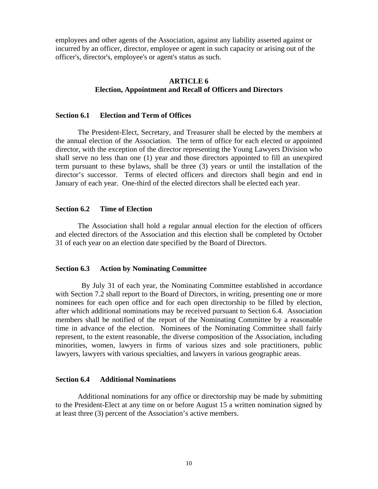employees and other agents of the Association, against any liability asserted against or incurred by an officer, director, employee or agent in such capacity or arising out of the officer's, director's, employee's or agent's status as such.

## **ARTICLE 6 Election, Appointment and Recall of Officers and Directors**

### **Section 6.1 Election and Term of Offices**

The President-Elect, Secretary, and Treasurer shall be elected by the members at the annual election of the Association. The term of office for each elected or appointed director, with the exception of the director representing the Young Lawyers Division who shall serve no less than one (1) year and those directors appointed to fill an unexpired term pursuant to these bylaws, shall be three (3) years or until the installation of the director's successor. Terms of elected officers and directors shall begin and end in January of each year. One-third of the elected directors shall be elected each year.

### **Section 6.2 Time of Election**

The Association shall hold a regular annual election for the election of officers and elected directors of the Association and this election shall be completed by October 31 of each year on an election date specified by the Board of Directors.

### **Section 6.3 Action by Nominating Committee**

 By July 31 of each year, the Nominating Committee established in accordance with Section 7.2 shall report to the Board of Directors, in writing, presenting one or more nominees for each open office and for each open directorship to be filled by election, after which additional nominations may be received pursuant to Section 6.4. Association members shall be notified of the report of the Nominating Committee by a reasonable time in advance of the election. Nominees of the Nominating Committee shall fairly represent, to the extent reasonable, the diverse composition of the Association, including minorities, women, lawyers in firms of various sizes and sole practitioners, public lawyers, lawyers with various specialties, and lawyers in various geographic areas.

### **Section 6.4 Additional Nominations**

Additional nominations for any office or directorship may be made by submitting to the President-Elect at any time on or before August 15 a written nomination signed by at least three (3) percent of the Association's active members.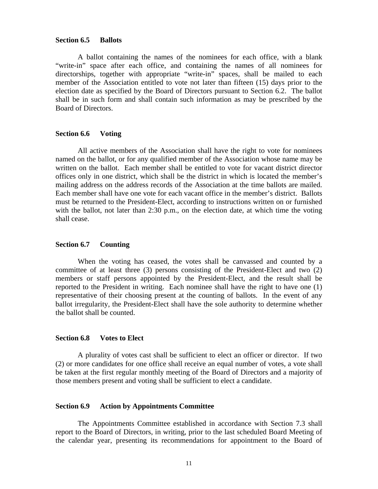#### **Section 6.5 Ballots**

A ballot containing the names of the nominees for each office, with a blank "write-in" space after each office, and containing the names of all nominees for directorships, together with appropriate "write-in" spaces, shall be mailed to each member of the Association entitled to vote not later than fifteen (15) days prior to the election date as specified by the Board of Directors pursuant to Section 6.2. The ballot shall be in such form and shall contain such information as may be prescribed by the Board of Directors.

### **Section 6.6 Voting**

 All active members of the Association shall have the right to vote for nominees named on the ballot, or for any qualified member of the Association whose name may be written on the ballot. Each member shall be entitled to vote for vacant district director offices only in one district, which shall be the district in which is located the member's mailing address on the address records of the Association at the time ballots are mailed. Each member shall have one vote for each vacant office in the member's district. Ballots must be returned to the President-Elect, according to instructions written on or furnished with the ballot, not later than 2:30 p.m., on the election date, at which time the voting shall cease.

### **Section 6.7 Counting**

When the voting has ceased, the votes shall be canvassed and counted by a committee of at least three (3) persons consisting of the President-Elect and two (2) members or staff persons appointed by the President-Elect, and the result shall be reported to the President in writing. Each nominee shall have the right to have one (1) representative of their choosing present at the counting of ballots. In the event of any ballot irregularity, the President-Elect shall have the sole authority to determine whether the ballot shall be counted.

#### **Section 6.8 Votes to Elect**

A plurality of votes cast shall be sufficient to elect an officer or director. If two (2) or more candidates for one office shall receive an equal number of votes, a vote shall be taken at the first regular monthly meeting of the Board of Directors and a majority of those members present and voting shall be sufficient to elect a candidate.

### **Section 6.9 Action by Appointments Committee**

The Appointments Committee established in accordance with Section 7.3 shall report to the Board of Directors, in writing, prior to the last scheduled Board Meeting of the calendar year, presenting its recommendations for appointment to the Board of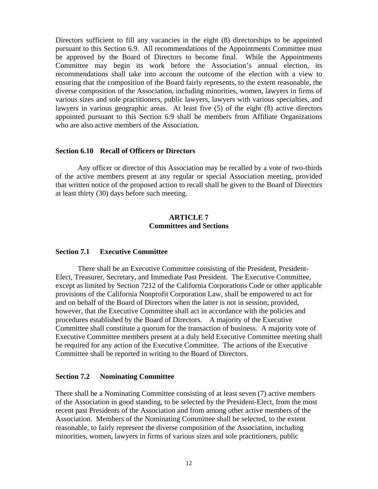Directors sufficient to fill any vacancies in the eight (8) directorships to be appointed pursuant to this Section 6.9. All recommendations of the Appointments Committee must be approved by the Board of Directors to become final. While the Appointments Committee may begin its work before the Association's annual election, its recommendations shall take into account the outcome of the election with a view to ensuring that the composition of the Board fairly represents, to the extent reasonable, the diverse composition of the Association, including minorities, women, lawyers in firms of various sizes and sole practitioners, public lawyers, lawyers with various specialties, and lawyers in various geographic areas. At least five (5) of the eight (8) active directors appointed pursuant to this Section 6.9 shall be members from Affiliate Organizations who are also active members of the Association.

## **Section 6.10 Recall of Officers or Directors**

Any officer or director of this Association may be recalled by a vote of two-thirds of the active members present at any regular or special Association meeting, provided that written notice of the proposed action to recall shall be given to the Board of Directors at least thirty (30) days before such meeting.

## **ARTICLE 7 Committees and Sections**

## **Section 7.1 Executive Committee**

There shall be an Executive Committee consisting of the President, President-Elect, Treasurer, Secretary, and Immediate Past President. The Executive Committee, except as limited by Section 7212 of the California Corporations Code or other applicable provisions of the California Nonprofit Corporation Law, shall be empowered to act for and on behalf of the Board of Directors when the latter is not in session; provided, however, that the Executive Committee shall act in accordance with the policies and procedures established by the Board of Directors. A majority of the Executive Committee shall constitute a quorum for the transaction of business. A majority vote of Executive Committee members present at a duly held Executive Committee meeting shall be required for any action of the Executive Committee. The actions of the Executive Committee shall be reported in writing to the Board of Directors.

## **Section 7.2 Nominating Committee**

There shall be a Nominating Committee consisting of at least seven (7) active members of the Association in good standing, to be selected by the President-Elect, from the most recent past Presidents of the Association and from among other active members of the Association. Members of the Nominating Committee shall be selected, to the extent reasonable, to fairly represent the diverse composition of the Association, including minorities, women, lawyers in firms of various sizes and sole practitioners, public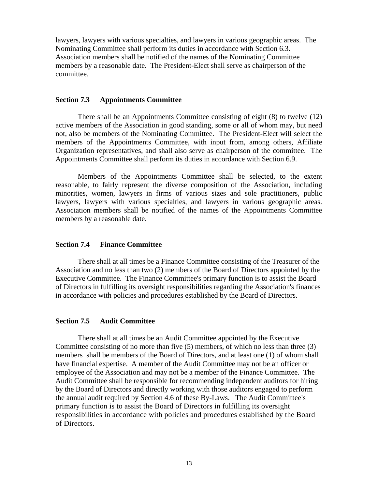lawyers, lawyers with various specialties, and lawyers in various geographic areas. The Nominating Committee shall perform its duties in accordance with Section 6.3. Association members shall be notified of the names of the Nominating Committee members by a reasonable date. The President-Elect shall serve as chairperson of the committee.

## **Section 7.3 Appointments Committee**

There shall be an Appointments Committee consisting of eight (8) to twelve (12) active members of the Association in good standing, some or all of whom may, but need not, also be members of the Nominating Committee. The President-Elect will select the members of the Appointments Committee, with input from, among others, Affiliate Organization representatives, and shall also serve as chairperson of the committee. The Appointments Committee shall perform its duties in accordance with Section 6.9.

 Members of the Appointments Committee shall be selected, to the extent reasonable, to fairly represent the diverse composition of the Association, including minorities, women, lawyers in firms of various sizes and sole practitioners, public lawyers, lawyers with various specialties, and lawyers in various geographic areas. Association members shall be notified of the names of the Appointments Committee members by a reasonable date.

### **Section 7.4 Finance Committee**

There shall at all times be a Finance Committee consisting of the Treasurer of the Association and no less than two (2) members of the Board of Directors appointed by the Executive Committee. The Finance Committee's primary function is to assist the Board of Directors in fulfilling its oversight responsibilities regarding the Association's finances in accordance with policies and procedures established by the Board of Directors.

#### **Section 7.5 Audit Committee**

There shall at all times be an Audit Committee appointed by the Executive Committee consisting of no more than five (5) members, of which no less than three (3) members shall be members of the Board of Directors, and at least one (1) of whom shall have financial expertise. A member of the Audit Committee may not be an officer or employee of the Association and may not be a member of the Finance Committee. The Audit Committee shall be responsible for recommending independent auditors for hiring by the Board of Directors and directly working with those auditors engaged to perform the annual audit required by Section 4.6 of these By-Laws. The Audit Committee's primary function is to assist the Board of Directors in fulfilling its oversight responsibilities in accordance with policies and procedures established by the Board of Directors.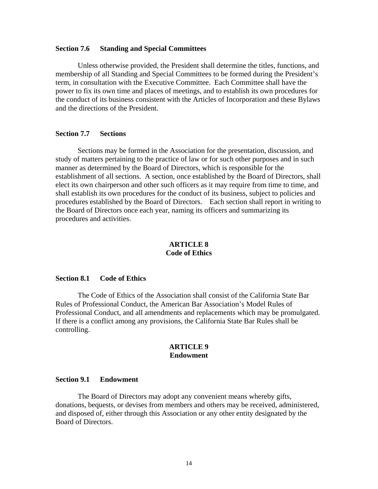### **Section 7.6 Standing and Special Committees**

Unless otherwise provided, the President shall determine the titles, functions, and membership of all Standing and Special Committees to be formed during the President's term, in consultation with the Executive Committee. Each Committee shall have the power to fix its own time and places of meetings, and to establish its own procedures for the conduct of its business consistent with the Articles of Incorporation and these Bylaws and the directions of the President.

## **Section 7.7 Sections**

Sections may be formed in the Association for the presentation, discussion, and study of matters pertaining to the practice of law or for such other purposes and in such manner as determined by the Board of Directors, which is responsible for the establishment of all sections. A section, once established by the Board of Directors, shall elect its own chairperson and other such officers as it may require from time to time, and shall establish its own procedures for the conduct of its business, subject to policies and procedures established by the Board of Directors. Each section shall report in writing to the Board of Directors once each year, naming its officers and summarizing its procedures and activities.

### **ARTICLE 8 Code of Ethics**

### **Section 8.1 Code of Ethics**

The Code of Ethics of the Association shall consist of the California State Bar Rules of Professional Conduct, the American Bar Association's Model Rules of Professional Conduct, and all amendments and replacements which may be promulgated. If there is a conflict among any provisions, the California State Bar Rules shall be controlling.

### **ARTICLE 9 Endowment**

### **Section 9.1 Endowment**

 The Board of Directors may adopt any convenient means whereby gifts, donations, bequests, or devises from members and others may be received, administered, and disposed of, either through this Association or any other entity designated by the Board of Directors.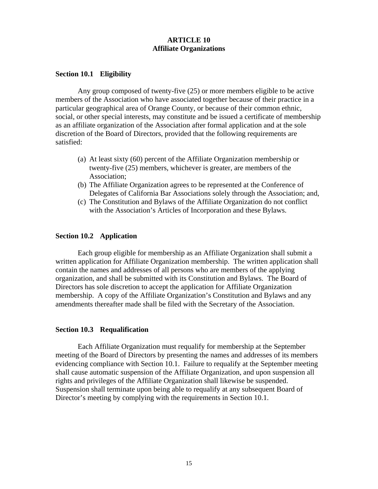## **ARTICLE 10 Affiliate Organizations**

### **Section 10.1 Eligibility**

Any group composed of twenty-five (25) or more members eligible to be active members of the Association who have associated together because of their practice in a particular geographical area of Orange County, or because of their common ethnic, social, or other special interests, may constitute and be issued a certificate of membership as an affiliate organization of the Association after formal application and at the sole discretion of the Board of Directors, provided that the following requirements are satisfied:

- (a) At least sixty (60) percent of the Affiliate Organization membership or twenty-five (25) members, whichever is greater, are members of the Association;
- (b) The Affiliate Organization agrees to be represented at the Conference of Delegates of California Bar Associations solely through the Association; and,
- (c) The Constitution and Bylaws of the Affiliate Organization do not conflict with the Association's Articles of Incorporation and these Bylaws.

## **Section 10.2 Application**

 Each group eligible for membership as an Affiliate Organization shall submit a written application for Affiliate Organization membership. The written application shall contain the names and addresses of all persons who are members of the applying organization, and shall be submitted with its Constitution and Bylaws. The Board of Directors has sole discretion to accept the application for Affiliate Organization membership. A copy of the Affiliate Organization's Constitution and Bylaws and any amendments thereafter made shall be filed with the Secretary of the Association.

### **Section 10.3 Requalification**

Each Affiliate Organization must requalify for membership at the September meeting of the Board of Directors by presenting the names and addresses of its members evidencing compliance with Section 10.1. Failure to requalify at the September meeting shall cause automatic suspension of the Affiliate Organization, and upon suspension all rights and privileges of the Affiliate Organization shall likewise be suspended. Suspension shall terminate upon being able to requalify at any subsequent Board of Director's meeting by complying with the requirements in Section 10.1.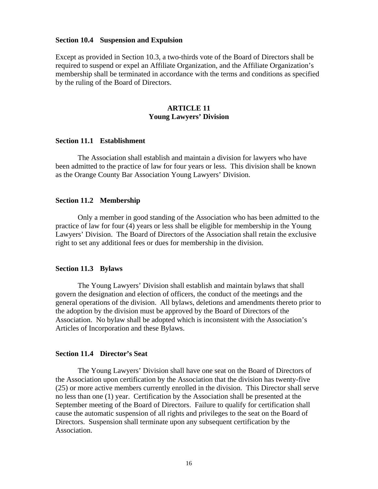#### **Section 10.4 Suspension and Expulsion**

Except as provided in Section 10.3, a two-thirds vote of the Board of Directors shall be required to suspend or expel an Affiliate Organization, and the Affiliate Organization's membership shall be terminated in accordance with the terms and conditions as specified by the ruling of the Board of Directors.

## **ARTICLE 11 Young Lawyers' Division**

#### **Section 11.1 Establishment**

The Association shall establish and maintain a division for lawyers who have been admitted to the practice of law for four years or less. This division shall be known as the Orange County Bar Association Young Lawyers' Division.

### **Section 11.2 Membership**

Only a member in good standing of the Association who has been admitted to the practice of law for four (4) years or less shall be eligible for membership in the Young Lawyers' Division. The Board of Directors of the Association shall retain the exclusive right to set any additional fees or dues for membership in the division.

### **Section 11.3 Bylaws**

The Young Lawyers' Division shall establish and maintain bylaws that shall govern the designation and election of officers, the conduct of the meetings and the general operations of the division. All bylaws, deletions and amendments thereto prior to the adoption by the division must be approved by the Board of Directors of the Association. No bylaw shall be adopted which is inconsistent with the Association's Articles of Incorporation and these Bylaws.

#### **Section 11.4 Director's Seat**

The Young Lawyers' Division shall have one seat on the Board of Directors of the Association upon certification by the Association that the division has twenty-five (25) or more active members currently enrolled in the division. This Director shall serve no less than one (1) year. Certification by the Association shall be presented at the September meeting of the Board of Directors. Failure to qualify for certification shall cause the automatic suspension of all rights and privileges to the seat on the Board of Directors. Suspension shall terminate upon any subsequent certification by the Association.